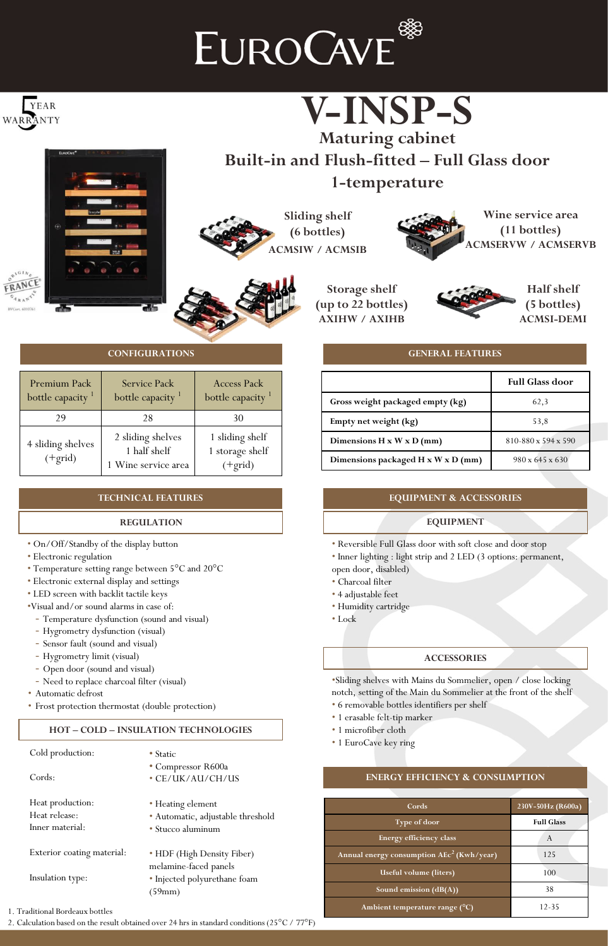# EUROCAVE<sup>®</sup>







# **Built-in and Flush-fitted – Full Glass door 1-temperature**

**Sliding shelf (6 bottles) ACMSIW / ACMSIB**



**Storage shelf (up to 22 bottles) AXIHW / AXIHB**



**Half shelf (5 bottles) ACMSI-DEMI**

## **GENERAL FEATURES**

|                                       | <b>Full Glass door</b>      |
|---------------------------------------|-----------------------------|
| Gross weight packaged empty (kg)      | 62,3                        |
| Empty net weight (kg)                 | 53,8                        |
| Dimensions $H \times W \times D$ (mm) | 810-880 x 594 x 590         |
| Dimensions packaged H x W x D (mm)    | $980 \times 645 \times 630$ |

## **EQUIPMENT & ACCESSORIES**

## **EQUIPMENT**

• Reversible Full Glass door with soft close and door stop

• Inner lighting : light strip and 2 LED (3 options: permanent,

- open door, disabled)
- Charcoal filter
- 4 adjustable feet
- Humidity cartridge
- Lock

# **ACCESSORIES**

•Sliding shelves with Mains du Sommelier, open / close locking notch, setting of the Main du Sommelier at the front of the shelf

- 6 removable bottles identifiers per shelf
- 1 erasable felt-tip marker
- 1 microfiber cloth
- 1 EuroCave key ring

# **ENERGY EFFICIENCY & CONSUMPTION**

| Cords                                                 | 230V-50Hz (R600a) |
|-------------------------------------------------------|-------------------|
| Type of door                                          | <b>Full Glass</b> |
| Energy efficiency class                               | A                 |
| Annual energy consumption $\mathrm{AEc}^2$ (Kwh/year) | 125               |
| Useful volume (liters)                                | 100               |
| Sound emission $(dB(A))$                              | 38                |
| Ambient temperature range (°C)                        | $12 - 35$         |

#### **CONFIGURATIONS**

| Premium Pack<br>bottle capacity <sup>1</sup> | <b>Service Pack</b><br>bottle capacity <sup>1</sup>      | <b>Access Pack</b><br>bottle capacity <sup>1</sup> |
|----------------------------------------------|----------------------------------------------------------|----------------------------------------------------|
| 29                                           | 28                                                       | 30                                                 |
| 4 sliding shelves<br>$(+grid)$               | 2 sliding shelves<br>1 half shelf<br>1 Wine service area | 1 sliding shelf<br>1 storage shelf<br>$(+grid)$    |

## **TECHNICAL FEATURES**

#### **REGULATION**

- On/Off/Standby of the display button
- Electronic regulation
- Temperature setting range between 5°C and 20°C
- Electronic external display and settings
- LED screen with backlit tactile keys
- •Visual and/or sound alarms in case of:
	- Temperature dysfunction (sound and visual)
	- Hygrometry dysfunction (visual)
	- Sensor fault (sound and visual)
	- Hygrometry limit (visual)
	- Open door (sound and visual)
	- Need to replace charcoal filter (visual)
- Automatic defrost
- Frost protection thermostat (double protection)

# **HOT – COLD – INSULATION TECHNOLOGIES**

| $\bullet$ Static                                    |
|-----------------------------------------------------|
| • Compressor R600a                                  |
| • CE/UK/AU/CH/US                                    |
| • Heating element                                   |
| • Automatic, adjustable threshold                   |
| • Stucco aluminum                                   |
| • HDF (High Density Fiber)<br>melamine-faced panels |
| • Injected polyurethane foam                        |
| (59mm)                                              |
|                                                     |

1. Traditional Bordeaux bottles

2. Calculation based on the result obtained over 24 hrs in standard conditions (25°C / 77°F)